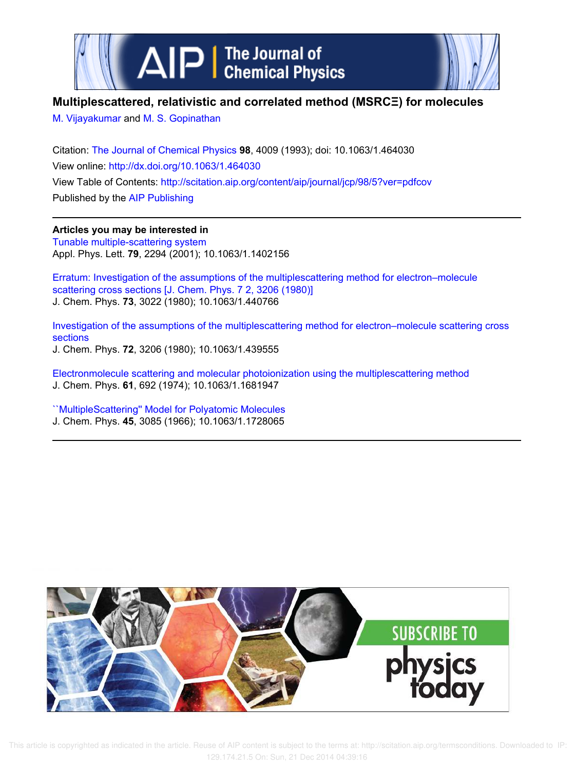



# **Multiplescattered, relativistic and correlated method (MSRCΞ) for molecules**

M. Vijayakumar and M. S. Gopinathan

Citation: The Journal of Chemical Physics **98**, 4009 (1993); doi: 10.1063/1.464030 View online: http://dx.doi.org/10.1063/1.464030 View Table of Contents: http://scitation.aip.org/content/aip/journal/jcp/98/5?ver=pdfcov Published by the AIP Publishing

**Articles you may be interested in** Tunable multiple-scattering system Appl. Phys. Lett. **79**, 2294 (2001); 10.1063/1.1402156

Erratum: Investigation of the assumptions of the multiplescattering method for electron–molecule scattering cross sections [J. Chem. Phys. 7 2, 3206 (1980)] J. Chem. Phys. **73**, 3022 (1980); 10.1063/1.440766

Investigation of the assumptions of the multiplescattering method for electron–molecule scattering cross sections J. Chem. Phys. **72**, 3206 (1980); 10.1063/1.439555

Electronmolecule scattering and molecular photoionization using the multiplescattering method J. Chem. Phys. **61**, 692 (1974); 10.1063/1.1681947

``MultipleScattering'' Model for Polyatomic Molecules J. Chem. Phys. **45**, 3085 (1966); 10.1063/1.1728065

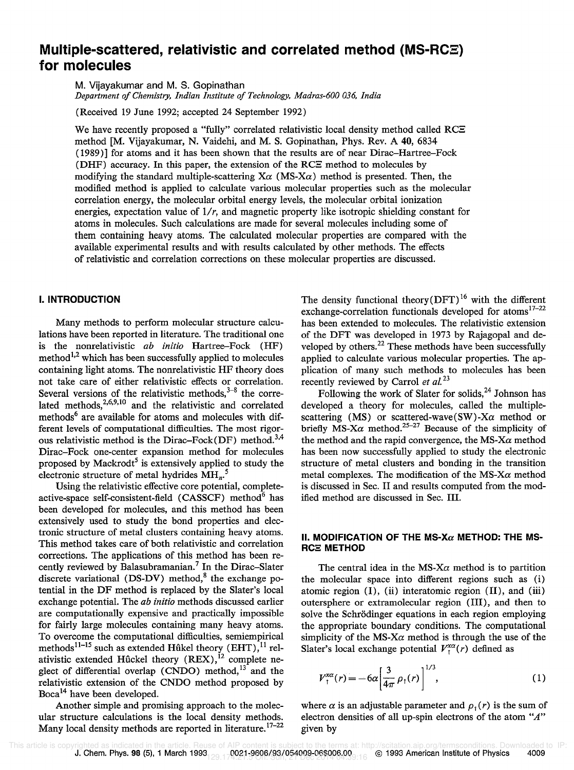# **Multiple-scattered, relativistic and correlated method (MS-RCE) for molecules**

M. Vijayakumar and M. S. Gopinathan

*Department of Chemistry, Indian Institute of Technology, Madras-600 036, India* 

(Received 19 June 1992; accepted 24 September 1992)

We have recently proposed a "fully" correlated relativistic local density method called RCE method [M. Vijayakumar, N. Vaidehi, and M. S. Gopinathan, Phys. Rev. A 40,6834 (1989)] for atoms and it has been shown that the results are of near Dirac-Hartree-Fock (DHF) accuracy. In this paper, the extension of the RC $\Xi$  method to molecules by modifying the standard multiple-scattering  $X\alpha$  (MS- $X\alpha$ ) method is presented. Then, the modified method is applied to calculate various molecular properties such as the molecular correlation energy, the molecular orbital energy levels, the molecular orbital ionization energies, expectation value of *1/r,* and magnetic property like isotropic shielding constant for atoms in molecules. Such calculations are made for several molecules including some of them containing heavy atoms. The calculated molecular properties are compared with the available experimental results and with results calculated by other methods. The effects of relativistic and correlation corrections on these molecular properties are discussed.

## **I. INTRODUCTION**

Many methods to perform molecular structure calculations have been reported in literature. The traditional one is the nonrelativistic *ab initio* Hartree-Fock (HF) method<sup> $1,2$ </sup> which has been successfully applied to molecules containing light atoms. The nonrelativistic HF theory does not take care of either relativistic effects or correlation. Several versions of the relativistic methods,  $3-8$  the correlated methods,  $2,6,9,10$  and the relativistic and correlated methods<sup>6</sup> are available for atoms and molecules with different levels of computational difficulties. The most rigorous relativistic method is the Dirac-Fock(DF) method.<sup>3,4</sup> Dirac-Fock one-center expansion method for molecules proposed by Mackrodt<sup>5</sup> is extensively applied to study the electronic structure of metal hydrides  $\text{MH}_{n}$ <sup>5</sup>

Using the relativistic effective core potential, completeactive-space self-consistent-field  $(CASSCF)$  method<sup>6</sup> has been developed for molecules, and this method has been extensively used to study the bond properties and electronic structure of metal clusters containing heavy atoms. This method takes care of both relativistic and correlation corrections. The applications of this method has been recently reviewed by Balasubramanian.<sup>7</sup> In the Dirac-Slater discrete variational (DS-DV) method,<sup>8</sup> the exchange potential in the DF method is replaced by the Slater's local exchange potential. The *ab initio* methods discussed earlier are computationally expensive and practically impossible for fairly large molecules containing many heavy atoms. To overcome the computational difficulties, semiempirical methods<sup>11–15</sup> such as extended Hûkel theory (EHT),<sup>11</sup> relativistic extended Hûckel theory  $(REX)$ ,<sup>12</sup> complete neglect of differential overlap (CNDO) method, $13$  and the relativistic extension of the CNDO method proposed by Boca<sup>14</sup> have been developed.

Another simple and promising approach to the molecular structure calculations is the local density methods. Many local density methods are reported in literature.<sup>17-22</sup> The density functional theory  $(DFT)^{16}$  with the different exchange-correlation functionals developed for atoms<sup>17-22</sup> has been extended to molecules. The relativistic extension of the DFT was developed in 1973 by Rajagopal and developed by others.<sup>22</sup> These methods have been successfully applied to calculate various molecular properties. The application of many such methods to molecules has been recently reviewed by Carrol *et al. <sup>23</sup>*

Following the work of Slater for solids,  $24$  Johnson has developed a theory for molecules, called the multiplescattering (MS) or scattered-wave(SW)-X $\alpha$  method or briefly MS-X $\alpha$  method.<sup>25-27</sup> Because of the simplicity of the method and the rapid convergence, the *MS-Xa* method has been now successfully applied to study the electronic structure of metal clusters and bonding in the transition metal complexes. The modification of the *MS-Xa* method is discussed in Sec. II and results computed from the modified method are discussed in Sec. III.

## II. MODIFICATION OF THE MS-X $\alpha$  METHOD: THE MS-**RCE METHOD**

The central idea in the  $MS-X\alpha$  method is to partition the molecular space into different regions such as (i) atomic region (I), (ii) interatomic region (II), and (iii) outersphere or extramolecular region (III), and then to solve the Schrödinger equations in each region employing the appropriate boundary conditions. The computational simplicity of the MS- $X\alpha$  method is through the use of the Slater's local exchange potential  $V_t^{x\alpha}(r)$  defined as

$$
V_{1}^{x\alpha}(r) = -6\alpha \left[\frac{3}{4\pi} \rho_{1}(r)\right]^{1/3},
$$
 (1)

where  $\alpha$  is an adjustable parameter and  $\rho_1(r)$  is the sum of electron densities of all up-spin electrons of the atom *"A"*  given by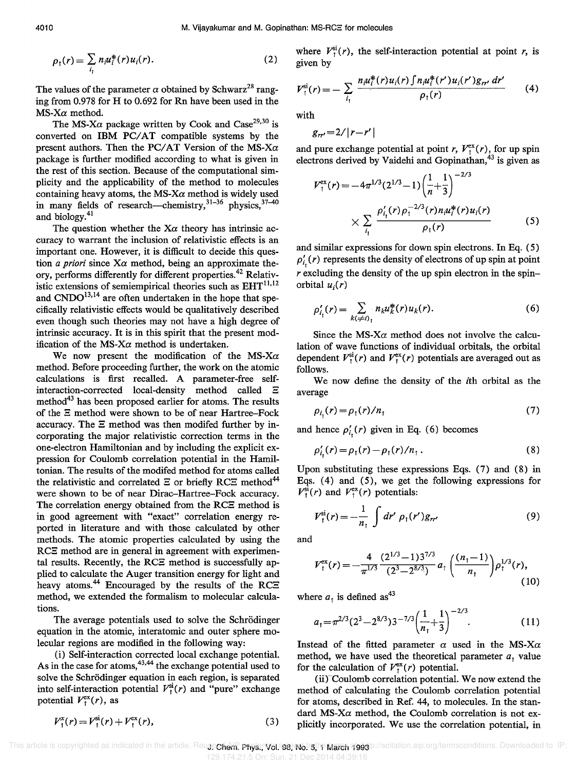$$
\rho_{\uparrow}(r) = \sum_{i_{\uparrow}} n_{i} u_{i}^{*}(r) u_{i}(r).
$$
 (2)

The values of the parameter  $\alpha$  obtained by Schwarz<sup>28</sup> ranging from 0.978 for H to 0.692 for Rn have been used in the *MS-Xa* method.

The MS-X $\alpha$  package written by Cook and Case<sup>29,30</sup> is converted on IBM PC/AT compatible systems by the present authors. Then the *PC*/AT Version of the *MS-Xa* package is further modified according to what is given in the rest of this section. Because of the computational simplicity and the applicability of the method to molecules containing heavy atoms, the  $MS-X\alpha$  method is widely used in many fields of research—chemistry,  $31-36$  physics,  $37-40$ and biology.<sup>41</sup>

The question whether the  $X\alpha$  theory has intrinsic accuracy to warrant the inclusion of relativistic effects is an important one. However, it is difficult to decide this question *a priori* since *Xa* method, being an approximate theory, performs differently for different properties.42 Relativistic extensions of semiempirical theories such as  $EHT^{11,12}$ and  $\text{CNDO}^{13,14}$  are often undertaken in the hope that specifically relativistic effects would be qualitatively described even though such theories may not have a high degree of intrinsic accuracy. It is in this spirit that the present modification of the  $MS-X\alpha$  method is undertaken.

We now present the modification of the *MS-Xa*  method. Before proceeding further, the work on the atomic calculations is first recalled. A parameter-free selfinteraction-corrected local-density method called E method<sup>43</sup> has been proposed earlier for atoms. The results of the E method were shown to be of near Hartree-Fock accuracy. The  $\Xi$  method was then modifed further by incorporating the major relativistic correction terms in the one-electron Hamiltonian and by including the explicit expression for Coulomb correlation potential in the Hamiltonian. The results of the modifed method for atoms called the relativistic and correlated  $\Xi$  or briefly RCE method<sup>44</sup> were shown to be of near Dirac-Hartree-Fock accuracy. The correlation energy obtained from the RCE method is in good agreement with "exact" correlation energy reported in literature and with those calculated by other methods. The atomic properties calculated by using the RCE method are in general in agreement with experimental results. Recently, the RCE method is successfully applied to calculate the Auger transition energy for light and heavy atoms.<sup>44</sup> Encouraged by the results of the RCE method, we extended the formalism to molecular calculations.

The average potentials used to solve the Schrödinger equation in the atomic, interatomic and outer sphere molecular regions are modified in the following way:

(i) Self-interaction corrected local exchange potential. As in the case for atoms,  $43,44$  the exchange potential used to solve the Schrödinger equation in each region, is separated into self-interaction potential  $V_1^{\text{si}}(r)$  and "pure" exchange potential  $V_t^{\text{ex}}(r)$ , as

$$
V_1^x(r) = V_1^{\text{si}}(r) + V_1^{\text{ex}}(r), \tag{3}
$$

where  $V_1^{\text{si}}(r)$ , the self-interaction potential at point *r*, is given by

$$
V_{\uparrow}^{\rm si}(r) = -\sum_{i_{\uparrow}} \frac{n_{i}u_{i}^{*}(r)u_{i}(r)\int n_{i}u_{i}^{*}(r')u_{i}(r')g_{rr'}\,dr'}{\rho_{\uparrow}(r)} \qquad (4)
$$

with

 $g_{rr'} = 2/|r-r'|$ 

and pure exchange potential at point *r*,  $V_f^{ex}(r)$ , for up spin electrons derived by Vaidehi and Gopinathan,<sup>43</sup> is given as

$$
V_{\dagger}^{\text{ex}}(r) = -4\pi^{1/3} (2^{1/3} - 1) \left(\frac{1}{n} + \frac{1}{3}\right)^{-2/3}
$$
  
 
$$
\times \sum_{i_1} \frac{\rho'_{i_1}(r)\rho_{\dagger}^{-2/3}(r)n_i u_i^*(r)u_i(r)}{\rho_{\dagger}(r)}
$$
(5)

and similar expressions for down spin electrons. In Eq. (5)  $\rho'_{i}$  (*r*) represents the density of electrons of up spin at point *r* excluding the density of the up spin electron in the spinorbital  $u_i(r)$ 

$$
\rho'_{i_1}(r) = \sum_{k(\neq i)_1} n_k u_k^*(r) u_k(r).
$$
 (6)

Since the MS- $X\alpha$  method does not involve the calculation of wave functions of individual orbitals, the orbital dependent  $V_t^{si}(r)$  and  $V_t^{ex}(r)$  potentials are averaged out as follows.

We now define the density of the ith orbital as the average

$$
\rho_{i,}(r) = \rho_{i}(r)/n_{i} \tag{7}
$$

and hence  $\rho'_{i}$  (*r*) given in Eq. (6) becomes

$$
\rho'_{i_1}(r) = \rho_1(r) - \rho_1(r)/n_1.
$$
 (8)

Upon substituting these expressions Eqs. (7) and (8) in Eqs.  $(4)$  and  $(5)$ , we get the following expressions for  $V_t^{\rm si}(r)$  and  $V_t^{\rm ex}(r)$  potentials:

$$
V_{1}^{\text{si}}(r) = -\frac{1}{n_{1}} \int dr' \; \rho_{1}(r') g_{rr'} \tag{9}
$$

and

$$
V_{\dagger}^{\text{ex}}(r) = -\frac{4}{\pi^{1/3}} \frac{(2^{1/3}-1)3^{7/3}}{(2^3-2^{8/3})} a_{\dagger} \left(\frac{(n_{\dagger}-1)}{n_{\dagger}}\right) \rho_{\dagger}^{1/3}(r), \tag{10}
$$

where  $a<sub>1</sub>$  is defined as<sup>43</sup>

$$
a_1 = \pi^{2/3} (2^3 - 2^{8/3}) 3^{-7/3} \left(\frac{1}{n_1} + \frac{1}{3}\right)^{-2/3}.
$$
 (11)

Instead of the fitted parameter  $\alpha$  used in the MS-X $\alpha$ method, we have used the theoretical parameter  $a_t$ , value for the calculation of  $V_f^{\text{ex}}(r)$  potential.

(ii)<sup>-</sup>Coulomb correlation potential. We now extend the method of calculating the Coulomb correlation potential for atoms, described in Ref. 44, to molecules. In the standard  $MS-X\alpha$  method, the Coulomb correlation is not explicitly incorporated. We use the correlation potential, in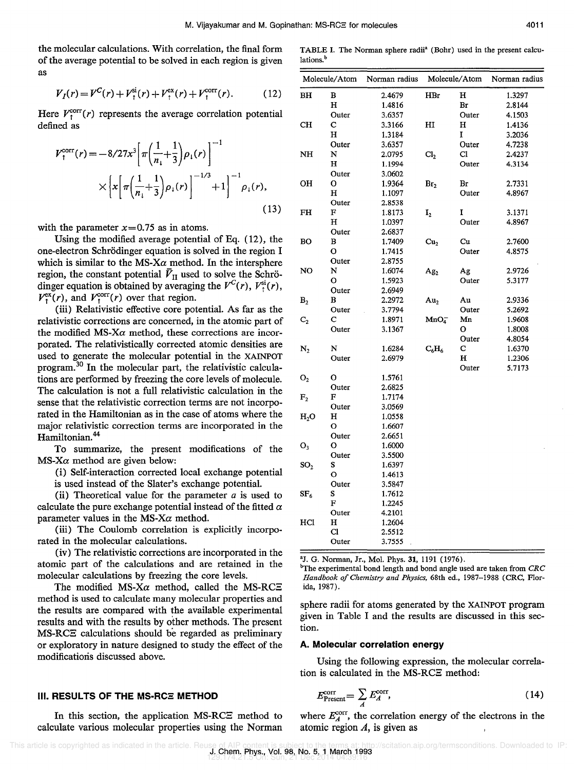the molecular calculations. With correlation, the final form of the average potential to be solved in each region is given as

$$
V_I(r) = V^C(r) + V^{\text{si}}_{\uparrow}(r) + V^{\text{ex}}_{\uparrow}(r) + V^{\text{corr}}_{\uparrow}(r). \tag{12}
$$

Here  $V_t^{corr}(r)$  represents the average correlation potential defined as

$$
V_{\dagger}^{\text{corr}}(r) = -\frac{8}{27x^3} \left[ \pi \left( \frac{1}{n_1} + \frac{1}{3} \right) \rho_1(r) \right]^{-1} \times \left[ \frac{1}{\pi \left( \frac{1}{n_1} + \frac{1}{3} \right) \rho_1(r)} \right]^{-1/3} + 1 \right]^{-1} \rho_1(r), \tag{13}
$$

with the parameter  $x=0.75$  as in atoms.

Using the modified average potential of Eq. (12), the one-electron Schrödinger equation is solved in the region I which is similar to the MS- $X\alpha$  method. In the intersphere region, the constant potential  $\bar{V}_{II}$  used to solve the Schrödinger equation is obtained by averaging the  $V^{C}(r)$ ,  $V_{t}^{\text{si}}(r)$ ,  $V_t^{\text{ex}}(r)$ , and  $V_t^{\text{corr}}(r)$  over that region.

(iii) Relativistic effective core potential. As far as the relativistic corrections are concerned, in the atomic part of the modified MS- $X\alpha$  method, these corrections are incorporated. The relativistically corrected atomic densities are used to generate the molecular potential in the XAINPOT program. <sup>30</sup>**In** the molecular part, the relativistic calculations are performed by freezing the core levels of molecule. The calculation is not a full relativistic calculation in the sense that the relativistic correction terms are not incorporated in the Hamiltonian as in the case of atoms where the major relativistic correction terms are incorporated in the Hamiltonian.<sup>44</sup>

To summarize, the present modifications of the  $MS-X\alpha$  method are given below:

(i) Self-interaction corrected local exchange potential is used instead of the Slater's exchange potential.

(ii) Theoretical value for the parameter *a* is used to calculate the pure exchange potential instead of the fitted  $\alpha$ parameter values in the MS-X $\alpha$  method.

(iii) The Coulomb correlation is explicitly incorporated in the molecular calculations.

(iv) The relativistic corrections are incorporated in the atomic part of the calculations and are retained in the molecular calculations by freezing the core levels.

The modified  $MS-X\alpha$  method, called the MS-RCE method is used to calculate many molecular properties and the results are compared with the available experimental results and with the results by other methods. The present MS-RCE calculations should be regarded as preliminary or exploratory in nature designed to study the effect of the modificatioris discussed above.

## **III. RESULTS OF THE MS-RC** $\overline{z}$  **METHOD**

In this section, the application MS-RCE method to calculate various molecular properties using the Norman

TABLE I. The Norman sphere radii" (Bohr) used in the present ca1culations.<sup>b</sup>

| Molecule/Atom    |       | Norman radius | Molecule/Atom    |              | Norman radius |  |
|------------------|-------|---------------|------------------|--------------|---------------|--|
| ВH               | в     | 2.4679        | HBr              | н            | 1.3297        |  |
|                  | н     | 1.4816        |                  | Br           | 2.8144        |  |
|                  | Outer | 3.6357        |                  | Outer        | 4.1503        |  |
| CH               | c     | 3.3166        | HI               | н            | 1.4136        |  |
|                  | н     | 1.3184        |                  | I            | 3.2036        |  |
|                  | Outer | 3.6357        |                  | Outer        | 4.7238        |  |
| NH               | N     | 2.0795        | Cl <sub>2</sub>  | $\mathbf{C}$ | 2.4237        |  |
|                  | н     | 1.1994        |                  | Outer        | 4.3134        |  |
|                  | Outer | 3.0602        |                  |              |               |  |
| OН               | o     | 1.9364        | Br <sub>2</sub>  | Br           | 2.7331        |  |
|                  | н     | 1.1097        |                  | Outer        | 4.8967        |  |
|                  | Outer | 2.8538        |                  |              |               |  |
| FH               | F     | 1.8173        | $\mathbf{I}_2$   | I            | 3.1371        |  |
|                  | н     | 1.0397        |                  | Outer        | 4.8967        |  |
|                  | Outer | 2.6837        |                  |              |               |  |
| BО               | В     | 1.7409        | Cu <sub>2</sub>  | Cu           | 2.7600        |  |
|                  | O     | 1.7415        |                  | Outer        | 4.8575        |  |
|                  | Outer | 2.8755        |                  |              |               |  |
| NO               | N     | 1.6074        | Ag <sub>2</sub>  | Ag           | 2.9726        |  |
|                  | o     | 1.5923        |                  | Outer        | 5.3177        |  |
|                  | Outer | 2.6949        |                  |              |               |  |
| B <sub>2</sub>   | B     | 2.2972        | Au <sub>2</sub>  | Au           | 2.9336        |  |
|                  | Outer | 3.7794        |                  | Outer        | 5.2692        |  |
| $\mathbf{C}_2$   | c     | 1.8971        | MnO <sub>4</sub> | Mn           | 1.9608        |  |
|                  | Outer | 3.1367        |                  | о            | 1.8008        |  |
|                  |       |               |                  | Outer        | 4.8054        |  |
| $\mathbf{N}_2$   | N     | 1.6284        | $\rm{C_6H_6}$    | с            | 1.6370        |  |
|                  | Outer | 2.6979        |                  | н            | 1.2306        |  |
| $\mathbf{O}_2$   | o     | 1.5761        |                  | Outer        | 5.7173        |  |
|                  | Outer | 2.6825        |                  |              |               |  |
| F <sub>2</sub>   | F     | 1.7174        |                  |              |               |  |
|                  | Outer | 3.0569        |                  |              |               |  |
| H <sub>2</sub> O | н     | 1.0558        |                  |              |               |  |
|                  | О     | 1.6607        |                  |              |               |  |
|                  | Outer | 2.6651        |                  |              |               |  |
| $O_3$            | o     | 1.6000        |                  |              |               |  |
|                  | Outer | 3.5500        |                  |              |               |  |
| SO <sub>2</sub>  | s     | 1.6397        |                  |              |               |  |
|                  | О     | 1.4613        |                  |              |               |  |
|                  | Outer | 3.5847        |                  |              |               |  |
| $\rm SF_6$       | s     | 1.7612        |                  |              |               |  |
|                  | F     | 1.2245        |                  |              |               |  |
|                  | Outer | 4.2101        |                  |              |               |  |
| HCl              | н     | 1.2604        |                  |              |               |  |
|                  | Cl    | 2.5512        |                  |              |               |  |
|                  | Outer | 3.7555        |                  |              |               |  |

"J. G. Norman, Jr., Mol. Phys. 31, 1191 (1976).

experimental bond length and bond angle used are taken from *CRC Handbook of Chemistry and Physics,* 68th ed., 1987-1988 (CRC, Florida, 1987).

sphere radii for atoms generated by the XAINPOT program given in Table I and the results are discussed in this section.

### **A. Molecular correlation energy**

Using the following expression, the molecular correlation is calculated in the MS-RCE method:

$$
E_{\text{Present}}^{\text{corr}} = \sum_{A} E_{A}^{\text{corr}}, \tag{14}
$$

where  $E_A^{\text{corr}}$ , the correlation energy of the electrons in the atomic region *A,* is given as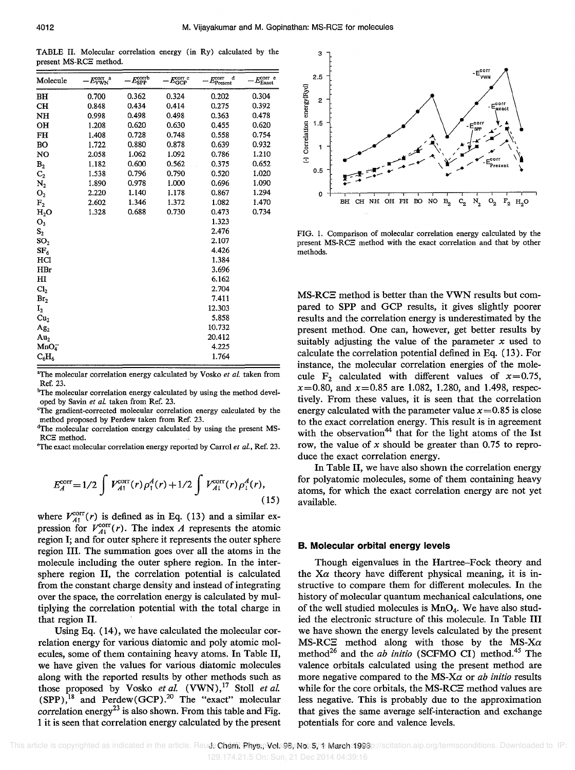TABLE II. Molecular correlation energy (in Ry) calculated by the present MS-RCE method.

| Molecule         | $E_{\rm VWN}^{\rm corr}$ a | $E_{\rm SPP}^{\rm corrb}$ | $E_{\rm GCP}^{\rm corr}$ c | d<br>$E_{\rm Present}^{\rm corr}$ | $E_{\rm Exact}^{\rm corr}$ e |
|------------------|----------------------------|---------------------------|----------------------------|-----------------------------------|------------------------------|
| BH               | 0.700                      | 0.362                     | 0.324                      | 0.202                             | 0.304                        |
| CH               | 0.848                      | 0.434                     | 0.414                      | 0.275                             | 0.392                        |
| NH               | 0.998                      | 0.498                     | 0.498                      | 0.363                             | 0.478                        |
| OH               | 1.208                      | 0.620                     | 0.630                      | 0.455                             | 0.620                        |
| FH               | 1.408                      | 0.728                     | 0.748                      | 0.558                             | 0.754                        |
| BO               | 1.722                      | 0.880                     | 0.878                      | 0.639                             | 0.932                        |
| NO               | 2.058                      | 1.062                     | 1.092                      | 0.786                             | 1.210                        |
| B <sub>2</sub>   | 1.182                      | 0.600                     | 0.562                      | 0.375                             | 0.652                        |
| $C_{2}$          | 1.538                      | 0.796                     | 0.790                      | 0.520                             | 1.020                        |
| $\rm N_2$        | 1.890                      | 0.978                     | 1.000                      | 0.696                             | 1.090                        |
| $\mathbf{O}_2$   | 2.220                      | 1.140                     | 1.178                      | 0.867                             | 1.294                        |
| ${\bf F_2}$      | 2.602                      | 1.346                     | 1.372                      | 1.082                             | 1.470                        |
| H <sub>2</sub> O | 1.328                      | 0.688                     | 0.730                      | 0.473                             | 0.734                        |
| $O_3$            |                            |                           |                            | 1.323                             |                              |
| $\mathbf{S}_2$   |                            |                           |                            | 2.476                             |                              |
| SO <sub>2</sub>  |                            |                           |                            | 2.107                             |                              |
| SF <sub>6</sub>  |                            |                           |                            | 4.426                             |                              |
| HCl              |                            |                           |                            | 1.384                             |                              |
| HBr              |                            |                           |                            | 3.696                             |                              |
| H <sub>I</sub>   |                            |                           |                            | 6.162                             |                              |
| Cl <sub>2</sub>  |                            |                           |                            | 2.704                             |                              |
| Br <sub>2</sub>  |                            |                           |                            | 7.411                             |                              |
| $\mathbf{I}_2$   |                            |                           |                            | 12.303                            |                              |
| Cu <sub>2</sub>  |                            |                           |                            | 5.858                             |                              |
| Ag <sub>2</sub>  |                            |                           |                            | 10.732                            |                              |
| Au <sub>2</sub>  |                            |                           |                            | 20.412                            |                              |
| MnO <sub>4</sub> |                            |                           |                            | 4.225                             |                              |
| $C_6H_6$         |                            |                           |                            | 1.764                             |                              |

'The molecular correlation energy calculated by Vosko *et at.* taken from Ref. 23.

<sup>b</sup>The molecular correlation energy calculated by using the method developed by Savin *et at.* taken from Ref. 23.

cThe gradient-corrected molecular correlation energy calculated by the method proposed by Perdew taken from Ref. 23.

dThe molecular correlation energy calculated by using the present MS-RCB method.

"The exact molecular correlation energy reported by Carrol *et at.,* Ref. 23.

$$
E_A^{\text{corr}} = 1/2 \int V_{A1}^{\text{corr}}(r) \rho_1^A(r) + 1/2 \int V_{A1}^{\text{corr}}(r) \rho_1^A(r), \tag{15}
$$

where  $V_{A\uparrow}^{\text{corr}}(r)$  is defined as in Eq. (13) and a similar expression for  $V_{A_1}^{\text{corr}}(r)$ . The index *A* represents the atomic region I; and for outer sphere it represents the outer sphere region **III.** The summation goes over all the atoms in the molecule including the outer sphere region. In the intersphere region II, the correlation potential is calculated from the constant charge density and instead of integrating over the space, the correlation energy is calculated by multiplying the correlation potential with the total charge in that region II.

Using Eq. (14), we have calculated the molecular correlation energy for various diatomic and poly atomic molecules, some of them containing heavy atoms. In Table II, we have given the values for various diatomic molecules along with the reported results by other methods such as those proposed by Vosko *et al.* (VWN),<sup>17</sup> Stoll *et al.*  $(SPP)$ ,<sup>18</sup> and Perdew(GCP).<sup>20</sup> The "exact" molecular correlation energy<sup>23</sup> is also shown. From this table and Fig. I it is seen that correlation energy calculated by the present



FIG. 1. Comparison of molecular correlation energy calculated by the present MS-RCB method with the exact correlation and that by other methods.

MS-RC $\Xi$  method is better than the VWN results but compared to SPP and GCP results, it gives slightly poorer results and the correlation energy is underestimated by the present method. One can, however, get better results by suitably adjusting the value of the parameter *x* used to calculate the correlation potential defined in Eq. (13). For instance, the molecular correlation energies of the molecule  $F_2$  calculated with different values of  $x=0.75$ , *x=0.80,* and *x=0.85* are 1.082, 1.280, and 1.498, respectively. From these values, it is seen that the correlation energy calculated with the parameter value  $x=0.85$  is close to the exact correlation energy. This result is in agreement with the observation<sup>44</sup> that for the light atoms of the 1st row, the value of *x* should be greater than 0.75 to reproduce the exact correlation energy.

In Table II, we have also shown the correlation energy for polyatomic molecules, some of them containing heavy atoms, for which the exact correlation energy are not yet available.

#### **B. Molecular orbital energy levels**

Though eigenvalues in the Hartree-Fock theory and the  $X\alpha$  theory have different physical meaning, it is instructive to compare them for different molecules. In the history of molecular quantum mechanical calculations, one of the well studied molecules is  $MnO<sub>4</sub>$ . We have also studied the electronic structure of this molecule. In Table **III**  we have shown the energy levels calculated by the present MS-RC $\Xi$  method along with those by the MS-X $\alpha$ method<sup>26</sup> and the *ab initio* (SCFMO CI) method.<sup>45</sup> The valence orbitals calculated using the present method are more negative compared to the MS-Xa or *ab initio* results while for the core orbitals, the MS-RCE method values are less negative. This is probably due to the approximation that gives the same average self-interaction and exchange potentials for core and valence levels.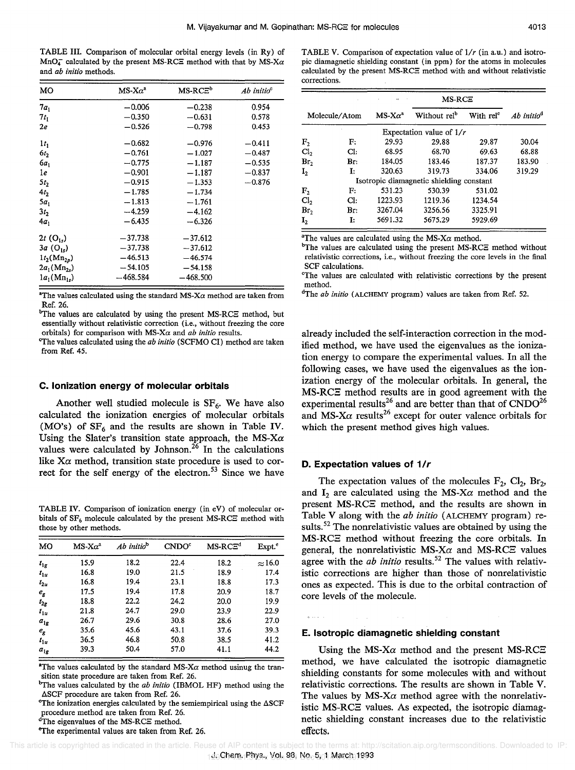TABLE III. Comparison of molecular orbital energy levels (in Ry) of  $MnO<sub>4</sub>$  calculated by the present MS-RCE method with that by MS-X $\alpha$ and *ab initio* methods.

| MО                      | $MS-X\alpha^2$ | MS-RCE <sup>b</sup> | Ab initio $\degree$ |
|-------------------------|----------------|---------------------|---------------------|
| $7a_1$                  | $-0.006$       | $-0.238$            | 0.954               |
| $7t_1$                  | $-0.350$       | $-0.631$            | 0.578               |
| 2e                      | $-0.526$       | $-0.798$            | 0.453               |
| 1 <sub>t</sub>          | $-0.682$       | $-0.976$            | $-0.411$            |
| 6t <sub>2</sub>         | $-0.761$       | $-1.027$            | $-0.487$            |
| 6a.                     | $-0.775$       | $-1.187$            | $-0.535$            |
| 1e                      | $-0.901$       | $-1.187$            | $-0.837$            |
| $5t_2$                  | $-0.915$       | $-1.353$            | $-0.876$            |
| 4t <sub>2</sub>         | $-1.785$       | $-1.734$            |                     |
| 5a,                     | $-1.813$       | $-1.761$            |                     |
| 3t <sub>2</sub>         | $-4.259$       | $-4.162$            |                     |
| $4a_1$                  | $-6.435$       | $-6.326$            |                     |
| $2t(0_{1s})$            | $-37.738$      | $-37.612$           |                     |
| $3a$ (O <sub>1</sub> ,) | $-37.738$      | $-37.612$           |                     |
| $1t_{2}(Mn_{2p})$       | $-46.513$      | $-46.574$           |                     |
| $2a_1(Mn_2)$            | $-54.105$      | $-54.158$           |                     |
| $1a_1(Mn_{1s})$         | $-468.584$     | -468.500            |                     |

"The values calculated using the standard  $MS-X\alpha$  method are taken from Ref. 26.

<sup>b</sup>The values are calculated by using the present MS-RCE method, but essentially without relativistic correction (i.e., without freezing the core orbitals) for comparison with *MS-Xa* and *ab initio* results.

"The values calculated using the *ab initio* (SCFMO CI) method are taken from Ref. 45.

### **c. Ionization energy of molecular orbitals**

Another well studied molecule is  $SF<sub>6</sub>$ . We have also calculated the ionization energies of molecular orbitals (MO's) of  $SF_6$  and the results are shown in Table IV. Using the Slater's transition state approach, the *MS-Xa*  values were calculated by Johnson.<sup>26</sup> In the calculations like  $X\alpha$  method, transition state procedure is used to correct for the self energy of the electron.<sup>53</sup> Since we have

TABLE IV. Comparison of ionization energy (in eV) of molecular orbitals of  $SF_6$  molecule calculated by the present MS-RCE method with those by other methods.

| MO                                | $MS - X\alpha^a$ | Ab initio <sup>b</sup> | CNDO <sup>c</sup> | $MS-RCE^d$ | Expt. <sup>e</sup> |
|-----------------------------------|------------------|------------------------|-------------------|------------|--------------------|
| $t_{1g}$                          | 15.9             | 18.2                   | 22.4              | 18.2       | $\approx$ 16.0     |
| $t_{1u}$                          | 16.8             | 19.0                   | 21.5              | 18.9       | 17.4               |
| $t_{2u}$                          | 16.8             | 19.4                   | 23.1              | 18.8       | 17.3               |
| $\boldsymbol{e}_{\boldsymbol{g}}$ | 17.5             | 19.4                   | 17.8              | 20.9       | 18.7               |
| $t_{2g}$                          | 18.8             | 22.2                   | 24.2              | 20.0       | 19.9               |
| $t_{1u}$                          | 21.8             | 24.7                   | 29.0              | 23.9       | 22.9               |
| $a_{1g}$                          | 26.7             | 29.6                   | 30.8              | 28.6       | 27.0               |
| $e_{\rm g}$                       | 35.6             | 45.6                   | 43.1              | 37.6       | 39.3               |
| $l_{1u}$                          | 36.5             | 46.8                   | 50.8              | 38.5       | 41.2               |
| $a_{lg}$                          | 39.3             | 50.4                   | 57.0              | 41.1       | 44.2               |

<sup>a</sup>The values calculated by the standard MS-X $\alpha$  method usinug the transition state procedure are taken from Ref. 26.

<sup>b</sup>The values calculated by the *ab initio* (IBMOL HF) method using the ASCF procedure are taken from Ref. 26.

The ionization energies calculated by the semiempirical using the  $\triangle$ SCF procedure method are taken from Ref. 26.

<sup>d</sup>The eigenvalues of the MS-RCE method.

"The experimental values are taken from Ref. 26.

TABLE V. Comparison of expectation value of  $1/r$  (in a.u.) and isotropic diamagnetic shielding constant (in ppm) for the atoms in molecules calculated by the present MS-RCE method with and without relativistic corrections.

|                 |              | $MS-RCE$       |                                          |                       |                        |
|-----------------|--------------|----------------|------------------------------------------|-----------------------|------------------------|
| Molecule/Atom   |              | $MS-X\alpha^a$ | Without rel <sup>b</sup>                 | With rel <sup>c</sup> | Ab initio <sup>d</sup> |
|                 |              |                | Expectation value of $1/r$               |                       |                        |
| F <sub>2</sub>  | $\mathbf{F}$ | 29.93          | 29.88                                    | 29.87                 | 30.04                  |
| Cl <sub>2</sub> | Cl:          | 68.95          | 68.70                                    | 69.63                 | 68.88                  |
| Br <sub>2</sub> | Br:          | 184.05         | 183.46                                   | 187.37                | 183.90                 |
| I <sub>2</sub>  | Ŀ            | 320.63         | 319.73                                   | 334.06                | 319.29                 |
|                 |              |                | Isotropic diamagnetic shielding constant |                       |                        |
| ${\rm F_2}$     | F:           | 531.23         | 530.39                                   | 531.02                |                        |
| Cl <sub>2</sub> | Cŀ:          | 1223.93        | 1219.36                                  | 1234.54               |                        |
| Br <sub>2</sub> | Br:          | 3267.04        | 3256.56                                  | 3325.91               |                        |
| I <sub>2</sub>  | I:           | 5691.32        | 5675.29                                  | 5929.69               |                        |

<sup>a</sup>The values are calculated using the MS-X $\alpha$  method.

 ${}^{\text{b}}$ The values are calculated using the present MS-RCE method without relativistic corrections, i.e., without freezing the core levels in the final SCF calculations.

cThe values are calculated with relativistic corrections by the present method.

dThe *ab initio* (ALCHEMY program) values are taken from Ref. 52.

already included the self-interaction correction in the modified method, we have used the eigenvalues as the ionization energy to compare the experimental values. In all the following cases, we have used the eigenvalues as the ionization energy of the molecular orbitals. In general, the MS-RCE method results are in good agreement with the experimental results<sup>26</sup> and are better than that of  $\text{CNDO}^{26}$ and  $MS-X\alpha$  results<sup>26</sup> except for outer valence orbitals for which the present method gives high values.

#### **D. Expectation values of 1/r**

 $\sim 100$ 

The expectation values of the molecules  $F_2$ ,  $Cl_2$ ,  $Br_2$ , and  $I_2$  are calculated using the MS-X $\alpha$  method and the present MS-RCE method, and the results are shown in Table V along with the *ab initio* (ALCHEMY program) results.<sup>52</sup> The nonrelativistic values are obtained by using the MS-RC3 method without freezing the core orbitals. In general, the nonrelativistic  $MS-X\alpha$  and  $MS-RC\Xi$  values agree with the *ab initio* results.<sup>52</sup> The values with relativistic corrections are higher than those of nonrelativistic ones as expected. This is due to the orbital contraction of core levels of the molecule.

## **E. Isotropic diamagnetic shielding constant**

Using the MS-X $\alpha$  method and the present MS-RC $\Xi$ method, we have calculated the isotropic diamagnetic shielding constants for some molecules with and without relativistic corrections. The results are shown in Table V. The values by  $MS-X\alpha$  method agree with the nonrelativistic MS-RCE values. As expected, the isotropic diamagnetic shielding constant increases due to the relativistic effects.

and a con-